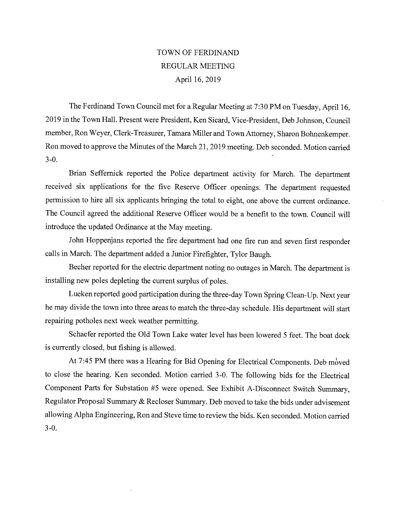# TOWN OF FERDINAND REGULAR MEETING April 16, 2019

The Ferdinand Town Council met for a Regular Meeting at 7:30 PM on Tuesday, April 16, 2019 in the Town Hall. Present were President, Ken Sicard, Vice-President, Deb Johnson, Council member, Ron Weyer, Clerk-Treasurer, Tamara Miller and Town Attorney, Sharon Bohnenkemper. Ron moved to approve the Minutes of the March 21, 2019 meeting. Deb seconded. Motion carried 3-0.

Brian Seffernick reported the Police department activity for March. The department received six applications for the five Reserve Officer openings. The department requested permission to hire all six applicants bringing the total to eight, one above the current ordinance. The Council agreed the additional Reserve Officer would be a benefit to the town. Council will introduce the updated Ordinance at the May meeting.

John Hoppenjans reported the fire department had one fire run and seven first responder calls in March. The department added a Junior Firefighter, Tylor Baugh.

Becher reported for the electric department noting no outages in March. The department is installing new poles depleting the current surplus of poles.

Lueken reported good participation during the three-day Town Spring Clean-Up. Next year he may divide the tovvn into three areas to match the three-day schedule. His department will start repairing potholes next week weather permitting.

Schaefer reported the Old Town Lake water level has been lowered 5 feet. The boat dock is currently closed, but fishing is allowed.

At 7:45 PM there was a Hearing for Bid Opening for Electrical Components. Deb móved to close the hearing. Ken seconded. Motion carried 3-0. The following bids for the Electrical Component Parts for Substation #5 were opened. See Exhibit A-Disconnect Switch Summary, Regulator Proposal Summary & Recloser Summary. Deb moved to take the bids under advisement allowing Alpha Engineering, Ron and Steve time to review the bids. Ken seconded. Motion carried 3-0.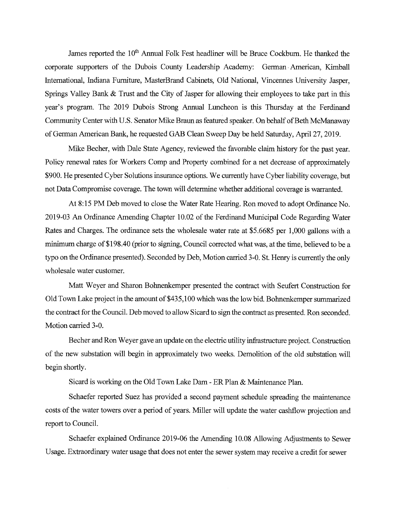James reported the 10<sup>th</sup> Annual Folk Fest headliner will be Bruce Cockburn. He thanked the corporate supporters of the Dubois County Leadership Academy: German American, Kimball International, Indiana Furniture, MasterBrand Cabinets, Old National, Vincennes University Jasper, Springs Valley Bank & Trust and the City of Jasper for allowing their employees to take part in this year's program. The 2019 Dubois Strong Annual Luncheon is this Thursday at the Ferdinand Community Center with U.S. Senator Mike Braun as featured speaker. On behalf of Beth McManaway of German American Bank, he requested GAB Clean Sweep Day be held Saturday, April 27, 2019.

Mike Becher, with Dale State Agency, reviewed the favorable claim history for the past year. Policy renewal rates for Workers Comp and Property combined for a net decrease of approximately \$900. He presented Cyber Solutions insurance options. We currently have Cyber liability coverage, but not Data Compromise coverage. The town will determine whether additional coverage is warranted.

At 8:15 PM Deb moved to close the Water Rate Hearing. Ron moved to adopt Ordinance No. 2019-03 An Ordinance Amending Chapter 10.02 of the Ferdinand Municipal Code Regarding Water Rates and Charges. The ordinance sets the wholesale water rate at \$5.6685 per 1,000 gallons with a minimum charge of \$198.40 (prior to signing, Council corrected what was, at the time, believed to be a typo on the Ordinance presented). Seconded by Deb, Motion carried 3-0. St. Henry is currently the only wholesale water customer.

Matt Weyer and Sharon Bohnenkemper presented the contract with Seufert Construction for Old Town Lake project in the amount of \$435,100 which was the low bid. Bohnenkemper surnmarized the contract for the Council. Deb moved to allow Sicard to sign the contract as presented. Ron seconded. Motion carried 3-0.

Becher and Ron Weyer gave an update on the electric utility infrastructure project. Construction of the new substation will begin in approximately two weeks. Demolition of the old substation will begin shortly.

Sicard is working on the Old Town Lake Dam - ER Plan & Maintenance Plan.

Schaefer reported Suez has provided a second payment schedule spreading the maintenance costs of the water towers over a period of years. Miller will update the water cashflow projection and report to Council.

Schaefer explained Ordinance 2019-06 the Amending 10.08 Allowing Adjustments to Sewer Usage. Extraordinary water usage that does not enter the sewer system may receive a credit for sewer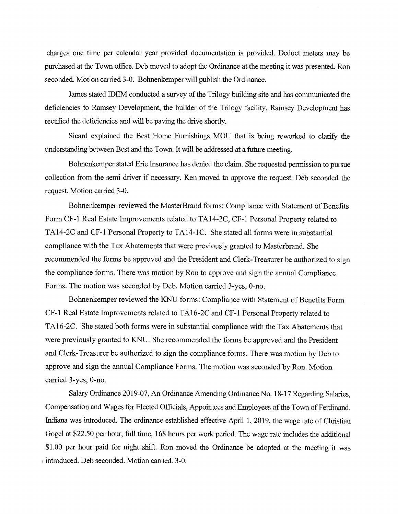charges one time per calendar year provided documentation is provided. Deduct meters may be purchased at the Town office. Deb moved to adopt the Ordinance at the meeting it was presented. Ron seconded. Motion carried 3-0. Bohnenkemper will publish the Ordinance.

James stated IDEM conducted a survey of the Trilogy building site and has communicated the deficiencies to Ramsey Development, the builder of the Trilogy facility. Ramsey Development has rectified the deficiencies and will be paving the drive shortly.

Sicard explained the Best Home Furnishings MOU that is being reworked to clarify the understanding between Best and the Town. It will be addressed at a future meeting.

Bohnenkemper stated Erie Insurance has denied the claim. She requested permission to pursue collection from the semi driver if necessary. Ken moved to approve the request. Deb seconded the request. Motion carried 3-0.

Bohnenkemper reviewed the MasterBrand forms: Compliance with Statement of Benefits Form CF-1 Real Estate Improvements related to TA14-2C, CF-1 Personal Property related to TA14-2C and CF-1 Personal Property to TA14-1C. She stated all forms were in substantial compliance with the Tax Abatements that were previously granted to Masterbrand. She recommended the forms be approved and the President and Clerk-Treasurer be authorized to sign the compliance forms. There was motion by Ron to approve and sign the annual Compliance Forms. The motion was seconded by Deb. Motion carried 3-yes, 0-no.

Bohnenkemper reviewed the KNU forms: Compliance with Statement of Benefits Form CF-1 Real Estate Improvements related to TA16-2C and CF-1 Personal Property related to TA16-2C. She stated both forms were in substantial compliance with the Tax Abatements that were previously granted to KNU. She recommended the forms be approved and the President and Clerk-Treasurer be authorized to sign the compliance forms. There was motion by Deb to approve and sign the armual Compliance Forms. The motion was seconded by Ron. Motion carried 3-yes, 0-no.

Salary Ordinance 2019-07, An Ordinance Amending Ordinance No. 18-17 Regarding Salaries, Compensation and Wages for Elected Officials, Appointees and Employees of the Town of Ferdinand, Indiana was introduced. The ordinance established effective April 1, 2019, the wage rate of Christian Gogel at \$22.50 per hour, full time, 168 hours per work period. The wage rate includes the additional \$1.00 per hour paid for night shift. Ron moved the Ordinance be adopted at the meeting it was , introduced. Deb seconded. Motion carried. 3-0.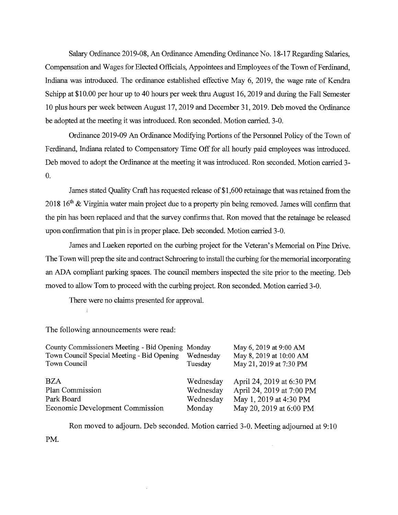Salary Ordinance 2019-08, An Ordinance Amending Ordinance No. 18-17 Regarding Salaries, Compensation and Wages for Elected Officials, Appointees and Employees of the Town of Ferdinand, Indiana was introduced. The ordinance established effective May 6, 2019, the wage rate of Kendra Schipp at \$10.00 per hour up to 40 hours per week thru August 16, 2019 and during the Fall Semester 10 plus hours per week between August 17, 2019 and December 31, 2019. Deb moved the Ordinance be adopted at the meeting it was introduced. Ron seconded. Motion carried. 3-0.

Ordinance 2019-09 An Ordinance Modifying Portions of the Personnel Policy of the Town of Ferdinand, Indiana related to Compensatory Time Off for all hourly paid employees was introduced. Deb moved to adopt the Ordinance at the meeting it was introduced. Ron seconded. Motion carried 3- 0.

James stated Quality Craft has requested release of \$1,600 retainage that was retained from the 2018 16<sup>th</sup> & Virginia water main project due to a property pin being removed. James will confirm that the pin has been replaced and that the survey confirms that. Ron moved that the retainage be released upon confirmation that pin is in proper place. Deb seconded. Motion carried 3-0.

James and Lueken reported on the curbing project for the Veteran's Memorial on Pine Drive. The Town will prep the site and contract Schroering to install the curbing for the memorial incorporating an ADA compliant parking spaces. The council members inspected the site prior to the meeting. Deb moved to allow Tom to proceed with the curbing project. Ron seconded. Motion carried 3-0.

There were no claims presented for approval.

Ť.

The following announcements were read:

| County Commissioners Meeting - Bid Opening Monday |           | May 6, 2019 at 9:00 AM    |
|---------------------------------------------------|-----------|---------------------------|
| Town Council Special Meeting - Bid Opening        | Wednesday | May 8, 2019 at 10:00 AM   |
| Town Council                                      | Tuesday   | May 21, 2019 at 7:30 PM   |
| <b>BZA</b>                                        | Wednesday | April 24, 2019 at 6:30 PM |
| Plan Commission                                   | Wednesday | April 24, 2019 at 7:00 PM |
| Park Board                                        | Wednesday | May 1, 2019 at 4:30 PM    |
| Economic Development Commission                   | Monday    | May 20, 2019 at 6:00 PM   |

Ron moved to adjourn. Deb seconded. Motion carried 3-0. Meeting adjourned at 9:10

PM.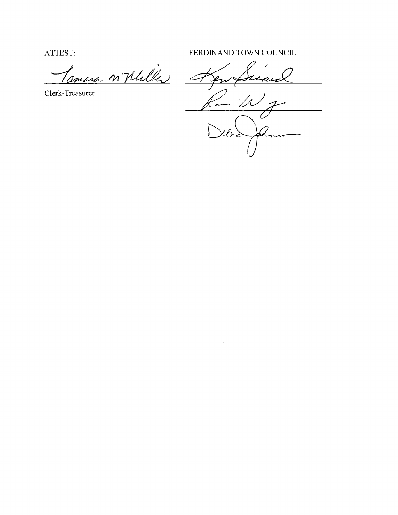ATTEST: FERDINAND TOWN COUNCIL

Pamara n Mulle

 $\label{eq:2.1} \mathcal{L}(\mathcal{L}^{\text{max}}_{\mathcal{L}}(\mathcal{L}^{\text{max}}_{\mathcal{L}}),\mathcal{L}^{\text{max}}_{\mathcal{L}}(\mathcal{L}^{\text{max}}_{\mathcal{L}}))$ 

Clerk-Treasurer

7 <u>Jen</u> ے 'D

 $\mathcal{L}(\mathcal{X})$  and  $\mathcal{L}(\mathcal{X})$